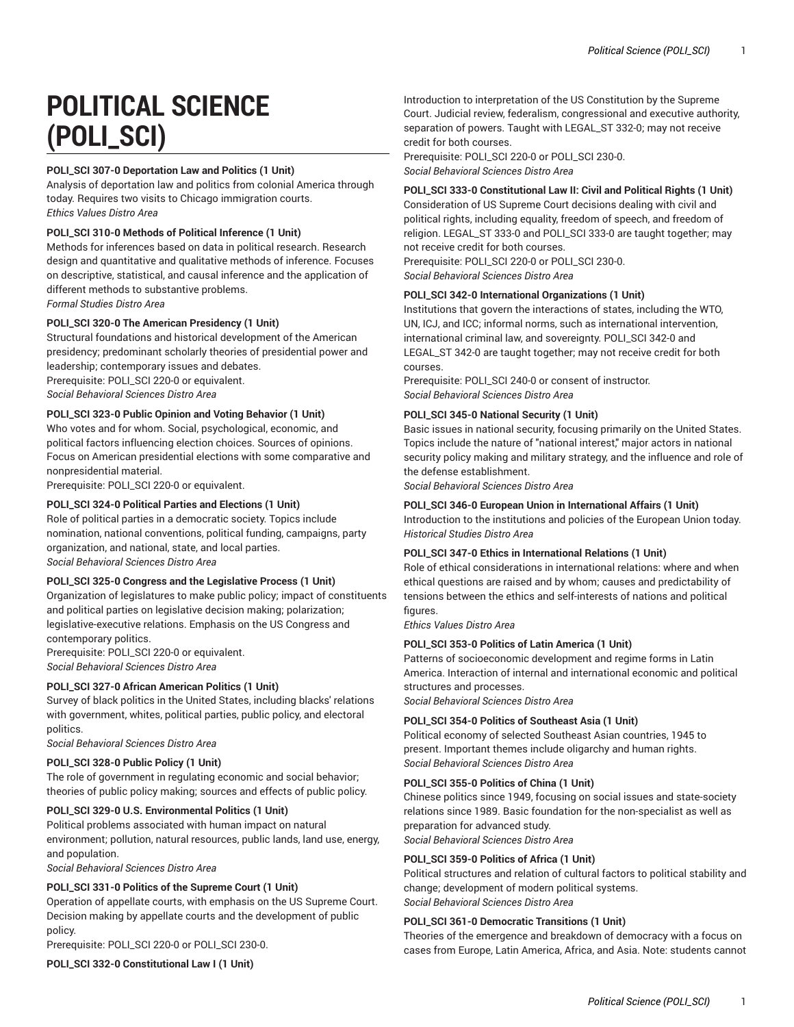# **POLITICAL SCIENCE (POLI\_SCI)**

# **POLI\_SCI 307-0 Deportation Law and Politics (1 Unit)**

Analysis of deportation law and politics from colonial America through today. Requires two visits to Chicago immigration courts. *Ethics Values Distro Area*

## **POLI\_SCI 310-0 Methods of Political Inference (1 Unit)**

Methods for inferences based on data in political research. Research design and quantitative and qualitative methods of inference. Focuses on descriptive, statistical, and causal inference and the application of different methods to substantive problems. *Formal Studies Distro Area*

# POLI SCI 320-0 The American Presidency (1 Unit)

Structural foundations and historical development of the American presidency; predominant scholarly theories of presidential power and leadership; contemporary issues and debates. Prerequisite: POLI\_SCI 220-0 or equivalent.

*Social Behavioral Sciences Distro Area*

# **POLI\_SCI 323-0 Public Opinion and Voting Behavior (1 Unit)**

Who votes and for whom. Social, psychological, economic, and political factors influencing election choices. Sources of opinions. Focus on American presidential elections with some comparative and nonpresidential material.

Prerequisite: POLI\_SCI 220-0 or equivalent.

# **POLI\_SCI 324-0 Political Parties and Elections (1 Unit)**

Role of political parties in a democratic society. Topics include nomination, national conventions, political funding, campaigns, party organization, and national, state, and local parties. *Social Behavioral Sciences Distro Area*

#### **POLI\_SCI 325-0 Congress and the Legislative Process (1 Unit)**

Organization of legislatures to make public policy; impact of constituents and political parties on legislative decision making; polarization; legislative-executive relations. Emphasis on the US Congress and contemporary politics.

Prerequisite: POLI\_SCI 220-0 or equivalent. *Social Behavioral Sciences Distro Area*

#### **POLI\_SCI 327-0 African American Politics (1 Unit)**

Survey of black politics in the United States, including blacks' relations with government, whites, political parties, public policy, and electoral politics.

*Social Behavioral Sciences Distro Area*

#### **POLI\_SCI 328-0 Public Policy (1 Unit)**

The role of government in regulating economic and social behavior; theories of public policy making; sources and effects of public policy.

#### **POLI\_SCI 329-0 U.S. Environmental Politics (1 Unit)**

Political problems associated with human impact on natural environment; pollution, natural resources, public lands, land use, energy, and population.

*Social Behavioral Sciences Distro Area*

#### **POLI\_SCI 331-0 Politics of the Supreme Court (1 Unit)**

Operation of appellate courts, with emphasis on the US Supreme Court. Decision making by appellate courts and the development of public policy.

Prerequisite: POLI\_SCI 220-0 or POLI\_SCI 230-0.

**POLI\_SCI 332-0 Constitutional Law I (1 Unit)** 

Introduction to interpretation of the US Constitution by the Supreme Court. Judicial review, federalism, congressional and executive authority, separation of powers. Taught with LEGAL\_ST 332-0; may not receive credit for both courses.

Prerequisite: POLI\_SCI 220-0 or POLI\_SCI 230-0. *Social Behavioral Sciences Distro Area*

**POLI\_SCI 333-0 Constitutional Law II: Civil and Political Rights (1 Unit)** Consideration of US Supreme Court decisions dealing with civil and political rights, including equality, freedom of speech, and freedom of religion. LEGAL\_ST 333-0 and POLI\_SCI 333-0 are taught together; may not receive credit for both courses.

Prerequisite: POLI\_SCI 220-0 or POLI\_SCI 230-0. *Social Behavioral Sciences Distro Area*

#### **POLI\_SCI 342-0 International Organizations (1 Unit)**

Institutions that govern the interactions of states, including the WTO, UN, ICJ, and ICC; informal norms, such as international intervention, international criminal law, and sovereignty. POLI\_SCI 342-0 and LEGAL\_ST 342-0 are taught together; may not receive credit for both courses.

Prerequisite: POLI\_SCI 240-0 or consent of instructor. *Social Behavioral Sciences Distro Area*

# **POLI\_SCI 345-0 National Security (1 Unit)**

Basic issues in national security, focusing primarily on the United States. Topics include the nature of "national interest," major actors in national security policy making and military strategy, and the influence and role of the defense establishment.

*Social Behavioral Sciences Distro Area*

#### **POLI\_SCI 346-0 European Union in International Affairs (1 Unit)**

Introduction to the institutions and policies of the European Union today. *Historical Studies Distro Area*

#### **POLI\_SCI 347-0 Ethics in International Relations (1 Unit)**

Role of ethical considerations in international relations: where and when ethical questions are raised and by whom; causes and predictability of tensions between the ethics and self-interests of nations and political figures.

*Ethics Values Distro Area*

## **POLI\_SCI 353-0 Politics of Latin America (1 Unit)**

Patterns of socioeconomic development and regime forms in Latin America. Interaction of internal and international economic and political structures and processes.

*Social Behavioral Sciences Distro Area*

#### **POLI\_SCI 354-0 Politics of Southeast Asia (1 Unit)**

Political economy of selected Southeast Asian countries, 1945 to present. Important themes include oligarchy and human rights. *Social Behavioral Sciences Distro Area*

#### **POLI\_SCI 355-0 Politics of China (1 Unit)**

Chinese politics since 1949, focusing on social issues and state-society relations since 1989. Basic foundation for the non-specialist as well as preparation for advanced study.

*Social Behavioral Sciences Distro Area*

#### **POLI\_SCI 359-0 Politics of Africa (1 Unit)**

Political structures and relation of cultural factors to political stability and change; development of modern political systems. *Social Behavioral Sciences Distro Area*

# **POLI\_SCI 361-0 Democratic Transitions (1 Unit)**

Theories of the emergence and breakdown of democracy with a focus on cases from Europe, Latin America, Africa, and Asia. Note: students cannot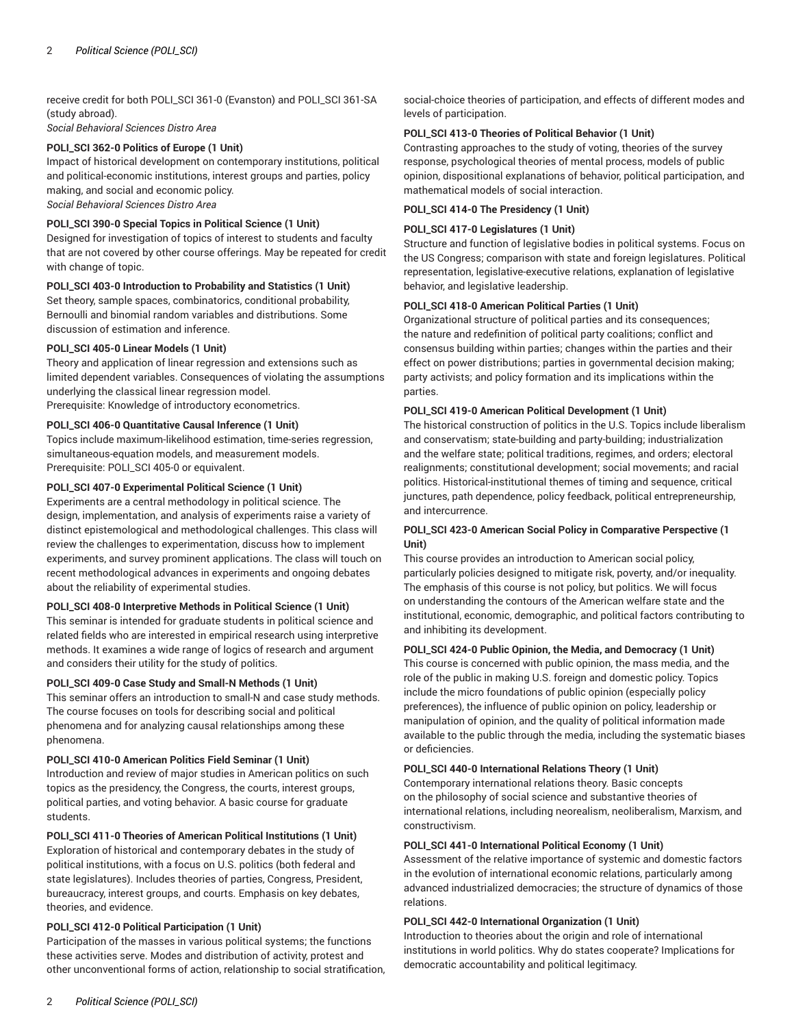receive credit for both POLI\_SCI 361-0 (Evanston) and POLI\_SCI 361-SA (study abroad).

*Social Behavioral Sciences Distro Area*

# **POLI\_SCI 362-0 Politics of Europe (1 Unit)**

Impact of historical development on contemporary institutions, political and political-economic institutions, interest groups and parties, policy making, and social and economic policy. *Social Behavioral Sciences Distro Area*

#### **POLI\_SCI 390-0 Special Topics in Political Science (1 Unit)**

Designed for investigation of topics of interest to students and faculty that are not covered by other course offerings. May be repeated for credit with change of topic.

#### **POLI\_SCI 403-0 Introduction to Probability and Statistics (1 Unit)**

Set theory, sample spaces, combinatorics, conditional probability, Bernoulli and binomial random variables and distributions. Some discussion of estimation and inference.

# **POLI\_SCI 405-0 Linear Models (1 Unit)**

Theory and application of linear regression and extensions such as limited dependent variables. Consequences of violating the assumptions underlying the classical linear regression model.

Prerequisite: Knowledge of introductory econometrics.

# **POLI\_SCI 406-0 Quantitative Causal Inference (1 Unit)**

Topics include maximum-likelihood estimation, time-series regression, simultaneous-equation models, and measurement models. Prerequisite: POLI\_SCI 405-0 or equivalent.

#### **POLI\_SCI 407-0 Experimental Political Science (1 Unit)**

Experiments are a central methodology in political science. The design, implementation, and analysis of experiments raise a variety of distinct epistemological and methodological challenges. This class will review the challenges to experimentation, discuss how to implement experiments, and survey prominent applications. The class will touch on recent methodological advances in experiments and ongoing debates about the reliability of experimental studies.

# **POLI\_SCI 408-0 Interpretive Methods in Political Science (1 Unit)**

This seminar is intended for graduate students in political science and related fields who are interested in empirical research using interpretive methods. It examines a wide range of logics of research and argument and considers their utility for the study of politics.

#### **POLI\_SCI 409-0 Case Study and Small-N Methods (1 Unit)**

This seminar offers an introduction to small-N and case study methods. The course focuses on tools for describing social and political phenomena and for analyzing causal relationships among these phenomena.

#### **POLI\_SCI 410-0 American Politics Field Seminar (1 Unit)**

Introduction and review of major studies in American politics on such topics as the presidency, the Congress, the courts, interest groups, political parties, and voting behavior. A basic course for graduate students.

**POLI\_SCI 411-0 Theories of American Political Institutions (1 Unit)** Exploration of historical and contemporary debates in the study of political institutions, with a focus on U.S. politics (both federal and state legislatures). Includes theories of parties, Congress, President, bureaucracy, interest groups, and courts. Emphasis on key debates, theories, and evidence.

#### **POLI\_SCI 412-0 Political Participation (1 Unit)**

Participation of the masses in various political systems; the functions these activities serve. Modes and distribution of activity, protest and other unconventional forms of action, relationship to social stratification,

social-choice theories of participation, and effects of different modes and levels of participation.

#### **POLI\_SCI 413-0 Theories of Political Behavior (1 Unit)**

Contrasting approaches to the study of voting, theories of the survey response, psychological theories of mental process, models of public opinion, dispositional explanations of behavior, political participation, and mathematical models of social interaction.

# **POLI\_SCI 414-0 The Presidency (1 Unit)**

#### **POLI\_SCI 417-0 Legislatures (1 Unit)**

Structure and function of legislative bodies in political systems. Focus on the US Congress; comparison with state and foreign legislatures. Political representation, legislative-executive relations, explanation of legislative behavior, and legislative leadership.

#### **POLI\_SCI 418-0 American Political Parties (1 Unit)**

Organizational structure of political parties and its consequences; the nature and redefinition of political party coalitions; conflict and consensus building within parties; changes within the parties and their effect on power distributions; parties in governmental decision making; party activists; and policy formation and its implications within the parties.

#### **POLI\_SCI 419-0 American Political Development (1 Unit)**

The historical construction of politics in the U.S. Topics include liberalism and conservatism; state-building and party-building; industrialization and the welfare state; political traditions, regimes, and orders; electoral realignments; constitutional development; social movements; and racial politics. Historical-institutional themes of timing and sequence, critical junctures, path dependence, policy feedback, political entrepreneurship, and intercurrence.

## **POLI\_SCI 423-0 American Social Policy in Comparative Perspective (1 Unit)**

This course provides an introduction to American social policy, particularly policies designed to mitigate risk, poverty, and/or inequality. The emphasis of this course is not policy, but politics. We will focus on understanding the contours of the American welfare state and the institutional, economic, demographic, and political factors contributing to and inhibiting its development.

#### **POLI\_SCI 424-0 Public Opinion, the Media, and Democracy (1 Unit)**

This course is concerned with public opinion, the mass media, and the role of the public in making U.S. foreign and domestic policy. Topics include the micro foundations of public opinion (especially policy preferences), the influence of public opinion on policy, leadership or manipulation of opinion, and the quality of political information made available to the public through the media, including the systematic biases or deficiencies.

#### **POLI\_SCI 440-0 International Relations Theory (1 Unit)**

Contemporary international relations theory. Basic concepts on the philosophy of social science and substantive theories of international relations, including neorealism, neoliberalism, Marxism, and constructivism.

#### **POLI\_SCI 441-0 International Political Economy (1 Unit)**

Assessment of the relative importance of systemic and domestic factors in the evolution of international economic relations, particularly among advanced industrialized democracies; the structure of dynamics of those relations.

#### **POLI\_SCI 442-0 International Organization (1 Unit)**

Introduction to theories about the origin and role of international institutions in world politics. Why do states cooperate? Implications for democratic accountability and political legitimacy.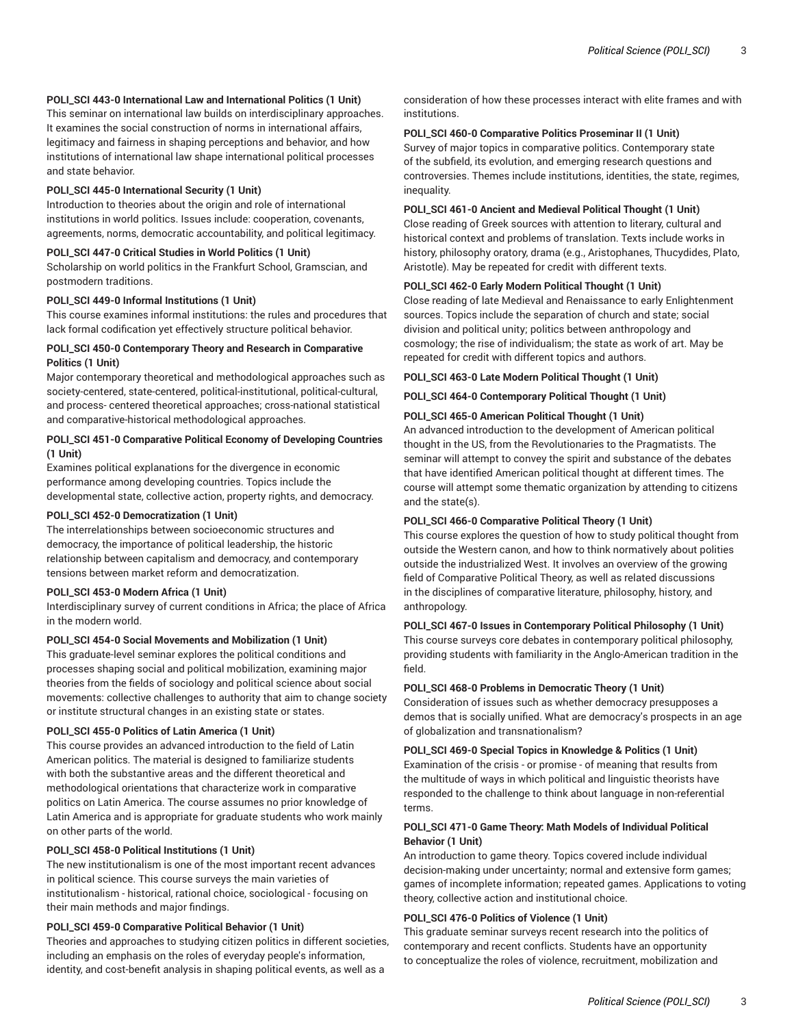# **POLI\_SCI 443-0 International Law and International Politics (1 Unit)**

This seminar on international law builds on interdisciplinary approaches. It examines the social construction of norms in international affairs, legitimacy and fairness in shaping perceptions and behavior, and how institutions of international law shape international political processes and state behavior.

## **POLI\_SCI 445-0 International Security (1 Unit)**

Introduction to theories about the origin and role of international institutions in world politics. Issues include: cooperation, covenants, agreements, norms, democratic accountability, and political legitimacy.

## **POLI\_SCI 447-0 Critical Studies in World Politics (1 Unit)**

Scholarship on world politics in the Frankfurt School, Gramscian, and postmodern traditions.

#### **POLI\_SCI 449-0 Informal Institutions (1 Unit)**

This course examines informal institutions: the rules and procedures that lack formal codification yet effectively structure political behavior.

# **POLI\_SCI 450-0 Contemporary Theory and Research in Comparative Politics (1 Unit)**

Major contemporary theoretical and methodological approaches such as society-centered, state-centered, political-institutional, political-cultural, and process- centered theoretical approaches; cross-national statistical and comparative-historical methodological approaches.

#### **POLI\_SCI 451-0 Comparative Political Economy of Developing Countries (1 Unit)**

Examines political explanations for the divergence in economic performance among developing countries. Topics include the developmental state, collective action, property rights, and democracy.

#### **POLI\_SCI 452-0 Democratization (1 Unit)**

The interrelationships between socioeconomic structures and democracy, the importance of political leadership, the historic relationship between capitalism and democracy, and contemporary tensions between market reform and democratization.

#### **POLI\_SCI 453-0 Modern Africa (1 Unit)**

Interdisciplinary survey of current conditions in Africa; the place of Africa in the modern world.

#### **POLI\_SCI 454-0 Social Movements and Mobilization (1 Unit)**

This graduate-level seminar explores the political conditions and processes shaping social and political mobilization, examining major theories from the fields of sociology and political science about social movements: collective challenges to authority that aim to change society or institute structural changes in an existing state or states.

#### **POLI\_SCI 455-0 Politics of Latin America (1 Unit)**

This course provides an advanced introduction to the field of Latin American politics. The material is designed to familiarize students with both the substantive areas and the different theoretical and methodological orientations that characterize work in comparative politics on Latin America. The course assumes no prior knowledge of Latin America and is appropriate for graduate students who work mainly on other parts of the world.

# **POLI\_SCI 458-0 Political Institutions (1 Unit)**

The new institutionalism is one of the most important recent advances in political science. This course surveys the main varieties of institutionalism - historical, rational choice, sociological - focusing on their main methods and major findings.

# **POLI\_SCI 459-0 Comparative Political Behavior (1 Unit)**

Theories and approaches to studying citizen politics in different societies, including an emphasis on the roles of everyday people's information, identity, and cost-benefit analysis in shaping political events, as well as a

consideration of how these processes interact with elite frames and with institutions.

# **POLI\_SCI 460-0 Comparative Politics Proseminar II (1 Unit)**

Survey of major topics in comparative politics. Contemporary state of the subfield, its evolution, and emerging research questions and controversies. Themes include institutions, identities, the state, regimes, inequality.

## **POLI\_SCI 461-0 Ancient and Medieval Political Thought (1 Unit)**

Close reading of Greek sources with attention to literary, cultural and historical context and problems of translation. Texts include works in history, philosophy oratory, drama (e.g., Aristophanes, Thucydides, Plato, Aristotle). May be repeated for credit with different texts.

## **POLI\_SCI 462-0 Early Modern Political Thought (1 Unit)**

Close reading of late Medieval and Renaissance to early Enlightenment sources. Topics include the separation of church and state; social division and political unity; politics between anthropology and cosmology; the rise of individualism; the state as work of art. May be repeated for credit with different topics and authors.

#### **POLI\_SCI 463-0 Late Modern Political Thought (1 Unit)**

**POLI\_SCI 464-0 Contemporary Political Thought (1 Unit)**

## **POLI\_SCI 465-0 American Political Thought (1 Unit)**

An advanced introduction to the development of American political thought in the US, from the Revolutionaries to the Pragmatists. The seminar will attempt to convey the spirit and substance of the debates that have identified American political thought at different times. The course will attempt some thematic organization by attending to citizens and the state(s).

## **POLI\_SCI 466-0 Comparative Political Theory (1 Unit)**

This course explores the question of how to study political thought from outside the Western canon, and how to think normatively about polities outside the industrialized West. It involves an overview of the growing field of Comparative Political Theory, as well as related discussions in the disciplines of comparative literature, philosophy, history, and anthropology.

# **POLI\_SCI 467-0 Issues in Contemporary Political Philosophy (1 Unit)**

This course surveys core debates in contemporary political philosophy, providing students with familiarity in the Anglo-American tradition in the field.

#### **POLI\_SCI 468-0 Problems in Democratic Theory (1 Unit)**

Consideration of issues such as whether democracy presupposes a demos that is socially unified. What are democracy's prospects in an age of globalization and transnationalism?

# **POLI\_SCI 469-0 Special Topics in Knowledge & Politics (1 Unit)**

Examination of the crisis - or promise - of meaning that results from the multitude of ways in which political and linguistic theorists have responded to the challenge to think about language in non-referential terms.

# **POLI\_SCI 471-0 Game Theory: Math Models of Individual Political Behavior (1 Unit)**

An introduction to game theory. Topics covered include individual decision-making under uncertainty; normal and extensive form games; games of incomplete information; repeated games. Applications to voting theory, collective action and institutional choice.

# **POLI\_SCI 476-0 Politics of Violence (1 Unit)**

This graduate seminar surveys recent research into the politics of contemporary and recent conflicts. Students have an opportunity to conceptualize the roles of violence, recruitment, mobilization and